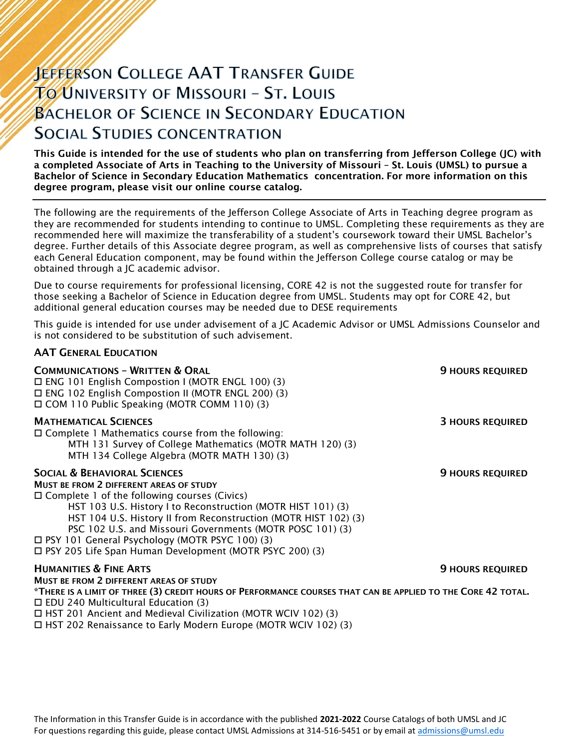# **JEFFERSON COLLEGE AAT TRANSFER GUIDE TO UNIVERSITY OF MISSOURI - ST. LOUIS BACHELOR OF SCIENCE IN SECONDARY EDUCATION SOCIAL STUDIES CONCENTRATION**

This Guide is intended for the use of students who plan on transferring from Jefferson College (JC) with a completed Associate of Arts in Teaching to the University of Missouri – St. Louis (UMSL) to pursue a Bachelor of Science in Secondary Education Mathematics concentration. For more information on this degree program, please visit our online course catalog.

The following are the requirements of the Jefferson College Associate of Arts in Teaching degree program as they are recommended for students intending to continue to UMSL. Completing these requirements as they are recommended here will maximize the transferability of a student's coursework toward their UMSL Bachelor's degree. Further details of this Associate degree program, as well as comprehensive lists of courses that satisfy each General Education component, may be found within the Jefferson College course catalog or may be obtained through a JC academic advisor.

Due to course requirements for professional licensing, CORE 42 is not the suggested route for transfer for those seeking a Bachelor of Science in Education degree from UMSL. Students may opt for CORE 42, but additional general education courses may be needed due to DESE requirements

This guide is intended for use under advisement of a JC Academic Advisor or UMSL Admissions Counselor and is not considered to be substitution of such advisement.

### AAT GENERAL EDUCATION

| <b>9 HOURS REQUIRED</b>                                                                                      |
|--------------------------------------------------------------------------------------------------------------|
| <b>3 HOURS REQUIRED</b>                                                                                      |
| <b>9 HOURS REQUIRED</b>                                                                                      |
| <b>9 HOURS REQUIRED</b>                                                                                      |
| *THERE IS A LIMIT OF THREE (3) CREDIT HOURS OF PERFORMANCE COURSES THAT CAN BE APPLIED TO THE CORE 42 TOTAL. |
|                                                                                                              |